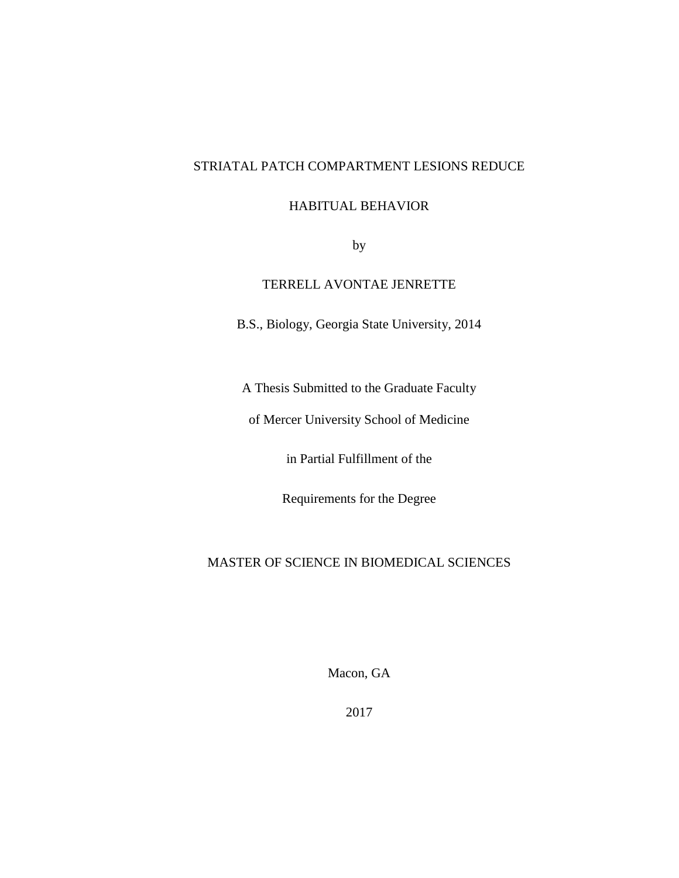# STRIATAL PATCH COMPARTMENT LESIONS REDUCE

## HABITUAL BEHAVIOR

by

# TERRELL AVONTAE JENRETTE

B.S., Biology, Georgia State University, 2014

A Thesis Submitted to the Graduate Faculty

of Mercer University School of Medicine

in Partial Fulfillment of the

Requirements for the Degree

# MASTER OF SCIENCE IN BIOMEDICAL SCIENCES

Macon, GA

2017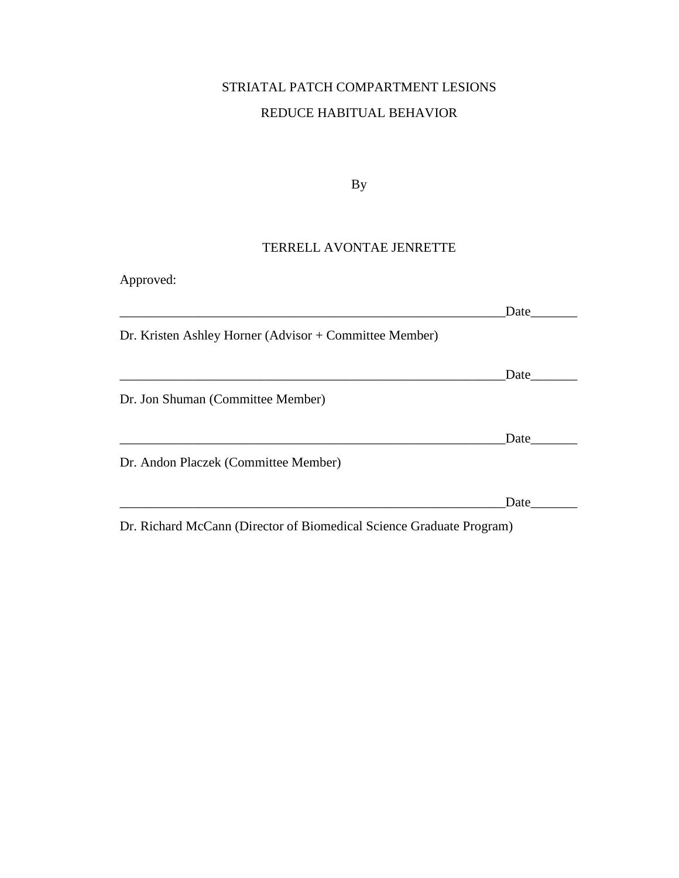# STRIATAL PATCH COMPARTMENT LESIONS REDUCE HABITUAL BEHAVIOR

By

# TERRELL AVONTAE JENRETTE

| Approved:                                              |      |
|--------------------------------------------------------|------|
|                                                        | Date |
| Dr. Kristen Ashley Horner (Advisor + Committee Member) |      |
|                                                        | Date |
| Dr. Jon Shuman (Committee Member)                      |      |
|                                                        | Date |
| Dr. Andon Placzek (Committee Member)                   |      |
|                                                        | Date |
|                                                        |      |

Dr. Richard McCann (Director of Biomedical Science Graduate Program)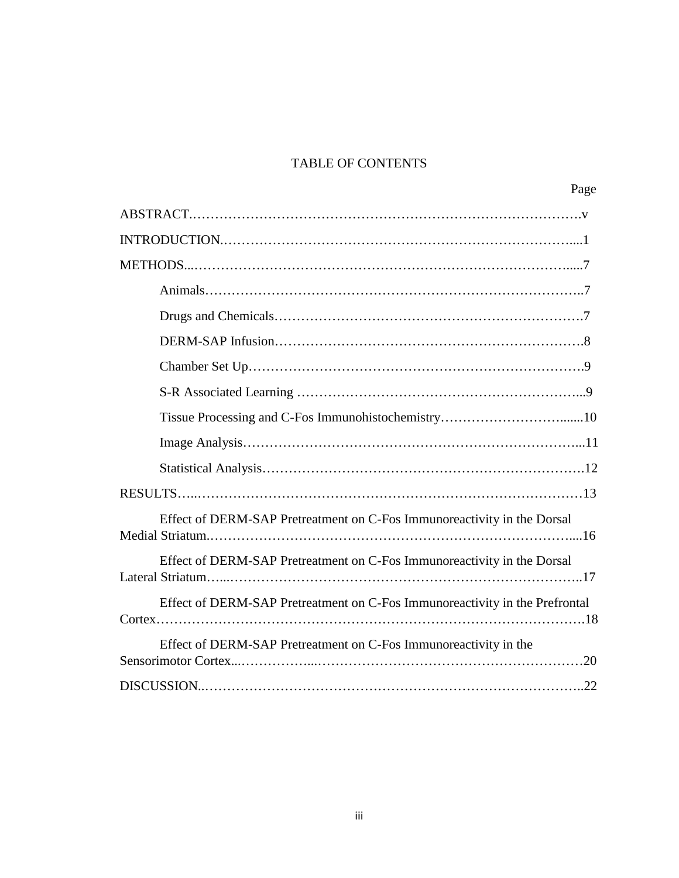# TABLE OF CONTENTS

| Page                                                                        |
|-----------------------------------------------------------------------------|
|                                                                             |
|                                                                             |
|                                                                             |
|                                                                             |
|                                                                             |
|                                                                             |
|                                                                             |
|                                                                             |
|                                                                             |
|                                                                             |
|                                                                             |
|                                                                             |
| Effect of DERM-SAP Pretreatment on C-Fos Immunoreactivity in the Dorsal     |
| Effect of DERM-SAP Pretreatment on C-Fos Immunoreactivity in the Dorsal     |
| Effect of DERM-SAP Pretreatment on C-Fos Immunoreactivity in the Prefrontal |
| Effect of DERM-SAP Pretreatment on C-Fos Immunoreactivity in the            |
|                                                                             |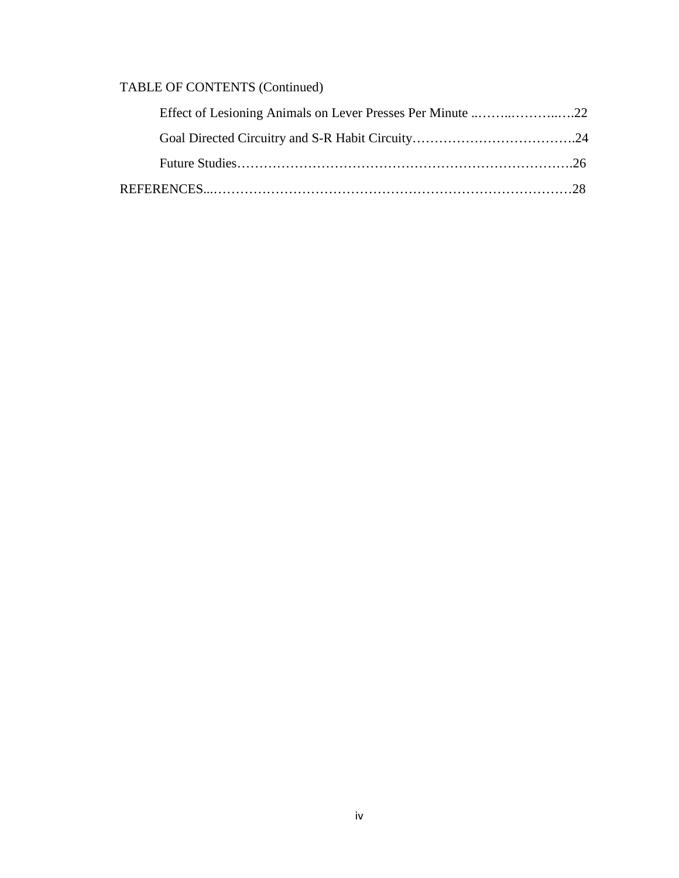# TABLE OF CONTENTS (Continued)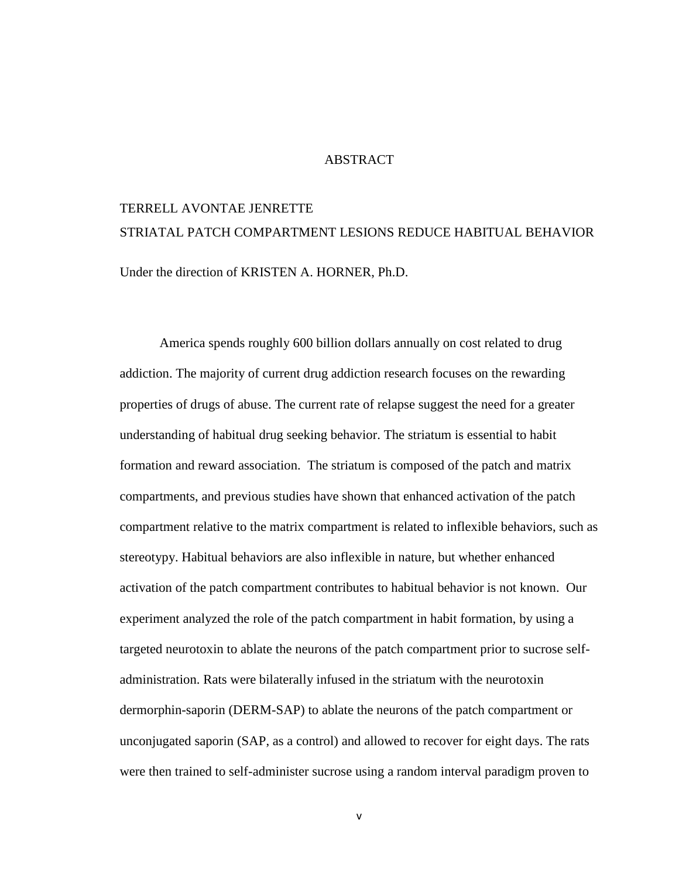# ABSTRACT

# TERRELL AVONTAE JENRETTE STRIATAL PATCH COMPARTMENT LESIONS REDUCE HABITUAL BEHAVIOR Under the direction of KRISTEN A. HORNER, Ph.D.

America spends roughly 600 billion dollars annually on cost related to drug addiction. The majority of current drug addiction research focuses on the rewarding properties of drugs of abuse. The current rate of relapse suggest the need for a greater understanding of habitual drug seeking behavior. The striatum is essential to habit formation and reward association. The striatum is composed of the patch and matrix compartments, and previous studies have shown that enhanced activation of the patch compartment relative to the matrix compartment is related to inflexible behaviors, such as stereotypy. Habitual behaviors are also inflexible in nature, but whether enhanced activation of the patch compartment contributes to habitual behavior is not known. Our experiment analyzed the role of the patch compartment in habit formation, by using a targeted neurotoxin to ablate the neurons of the patch compartment prior to sucrose selfadministration. Rats were bilaterally infused in the striatum with the neurotoxin dermorphin-saporin (DERM-SAP) to ablate the neurons of the patch compartment or unconjugated saporin (SAP, as a control) and allowed to recover for eight days. The rats were then trained to self-administer sucrose using a random interval paradigm proven to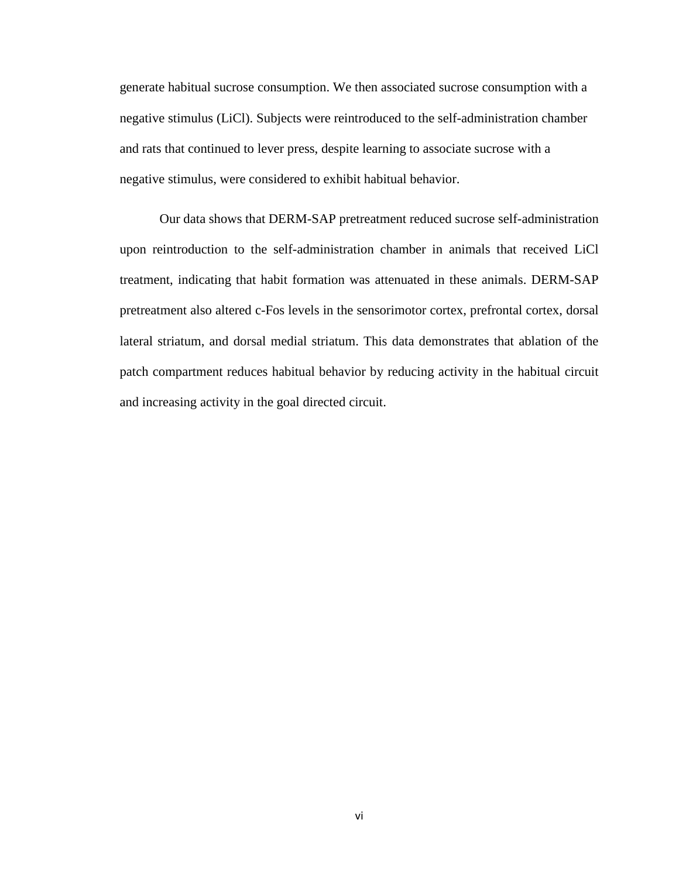generate habitual sucrose consumption. We then associated sucrose consumption with a negative stimulus (LiCl). Subjects were reintroduced to the self-administration chamber and rats that continued to lever press, despite learning to associate sucrose with a negative stimulus, were considered to exhibit habitual behavior.

Our data shows that DERM-SAP pretreatment reduced sucrose self-administration upon reintroduction to the self-administration chamber in animals that received LiCl treatment, indicating that habit formation was attenuated in these animals. DERM-SAP pretreatment also altered c-Fos levels in the sensorimotor cortex, prefrontal cortex, dorsal lateral striatum, and dorsal medial striatum. This data demonstrates that ablation of the patch compartment reduces habitual behavior by reducing activity in the habitual circuit and increasing activity in the goal directed circuit.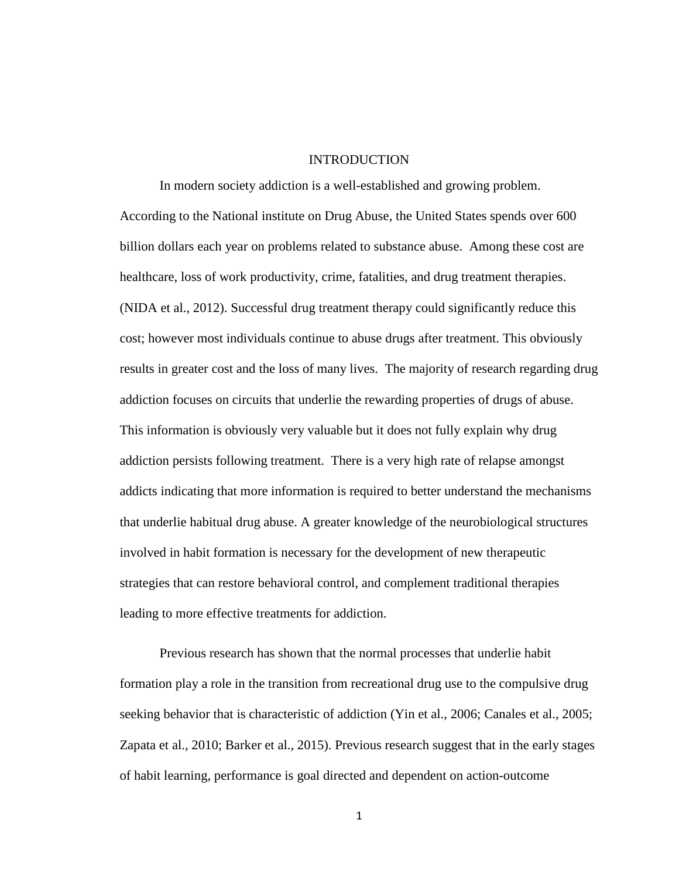# INTRODUCTION

In modern society addiction is a well-established and growing problem. According to the National institute on Drug Abuse, the United States spends over 600 billion dollars each year on problems related to substance abuse. Among these cost are healthcare, loss of work productivity, crime, fatalities, and drug treatment therapies. (NIDA et al., 2012). Successful drug treatment therapy could significantly reduce this cost; however most individuals continue to abuse drugs after treatment. This obviously results in greater cost and the loss of many lives. The majority of research regarding drug addiction focuses on circuits that underlie the rewarding properties of drugs of abuse. This information is obviously very valuable but it does not fully explain why drug addiction persists following treatment. There is a very high rate of relapse amongst addicts indicating that more information is required to better understand the mechanisms that underlie habitual drug abuse. A greater knowledge of the neurobiological structures involved in habit formation is necessary for the development of new therapeutic strategies that can restore behavioral control, and complement traditional therapies leading to more effective treatments for addiction.

Previous research has shown that the normal processes that underlie habit formation play a role in the transition from recreational drug use to the compulsive drug seeking behavior that is characteristic of addiction (Yin et al., 2006; Canales et al., 2005; Zapata et al., 2010; Barker et al., 2015). Previous research suggest that in the early stages of habit learning, performance is goal directed and dependent on action-outcome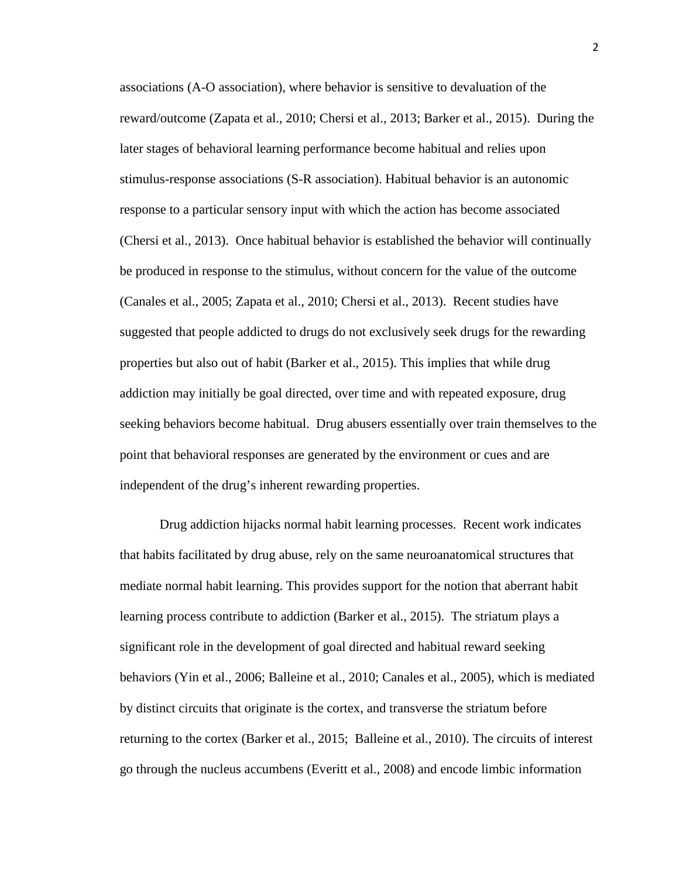associations (A-O association), where behavior is sensitive to devaluation of the reward/outcome (Zapata et al., 2010; Chersi et al., 2013; Barker et al., 2015). During the later stages of behavioral learning performance become habitual and relies upon stimulus-response associations (S-R association). Habitual behavior is an autonomic response to a particular sensory input with which the action has become associated (Chersi et al., 2013). Once habitual behavior is established the behavior will continually be produced in response to the stimulus, without concern for the value of the outcome (Canales et al., 2005; Zapata et al., 2010; Chersi et al., 2013). Recent studies have suggested that people addicted to drugs do not exclusively seek drugs for the rewarding properties but also out of habit (Barker et al., 2015). This implies that while drug addiction may initially be goal directed, over time and with repeated exposure, drug seeking behaviors become habitual. Drug abusers essentially over train themselves to the point that behavioral responses are generated by the environment or cues and are independent of the drug's inherent rewarding properties.

Drug addiction hijacks normal habit learning processes. Recent work indicates that habits facilitated by drug abuse, rely on the same neuroanatomical structures that mediate normal habit learning. This provides support for the notion that aberrant habit learning process contribute to addiction (Barker et al., 2015). The striatum plays a significant role in the development of goal directed and habitual reward seeking behaviors (Yin et al., 2006; Balleine et al., 2010; Canales et al., 2005), which is mediated by distinct circuits that originate is the cortex, and transverse the striatum before returning to the cortex (Barker et al., 2015; Balleine et al., 2010). The circuits of interest go through the nucleus accumbens (Everitt et al., 2008) and encode limbic information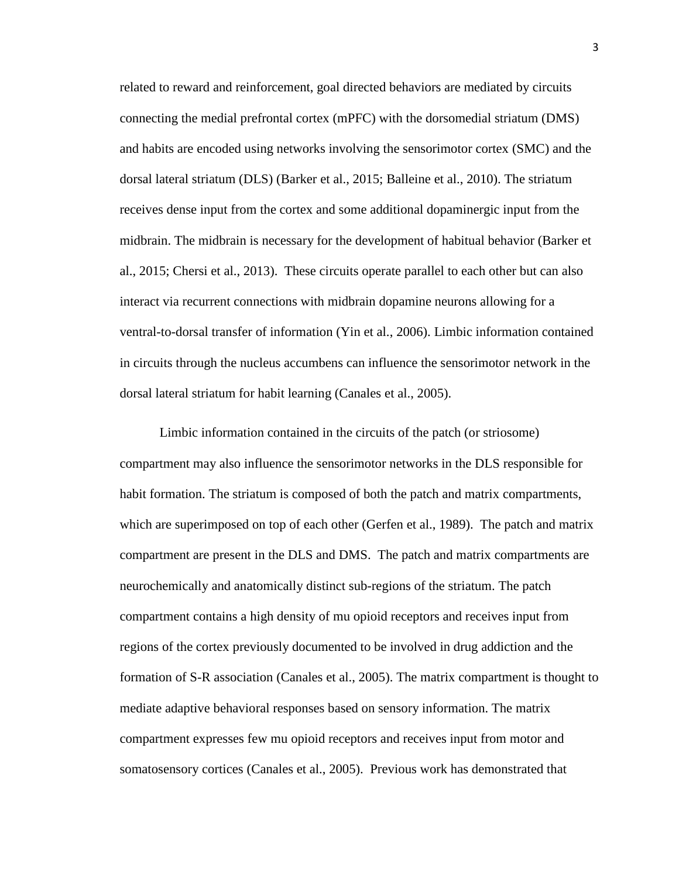related to reward and reinforcement, goal directed behaviors are mediated by circuits connecting the medial prefrontal cortex (mPFC) with the dorsomedial striatum (DMS) and habits are encoded using networks involving the sensorimotor cortex (SMC) and the dorsal lateral striatum (DLS) (Barker et al., 2015; Balleine et al., 2010). The striatum receives dense input from the cortex and some additional dopaminergic input from the midbrain. The midbrain is necessary for the development of habitual behavior (Barker et al., 2015; Chersi et al., 2013). These circuits operate parallel to each other but can also interact via recurrent connections with midbrain dopamine neurons allowing for a ventral-to-dorsal transfer of information (Yin et al., 2006). Limbic information contained in circuits through the nucleus accumbens can influence the sensorimotor network in the dorsal lateral striatum for habit learning (Canales et al., 2005).

Limbic information contained in the circuits of the patch (or striosome) compartment may also influence the sensorimotor networks in the DLS responsible for habit formation. The striatum is composed of both the patch and matrix compartments, which are superimposed on top of each other (Gerfen et al., 1989). The patch and matrix compartment are present in the DLS and DMS. The patch and matrix compartments are neurochemically and anatomically distinct sub-regions of the striatum. The patch compartment contains a high density of mu opioid receptors and receives input from regions of the cortex previously documented to be involved in drug addiction and the formation of S-R association (Canales et al., 2005). The matrix compartment is thought to mediate adaptive behavioral responses based on sensory information. The matrix compartment expresses few mu opioid receptors and receives input from motor and somatosensory cortices (Canales et al., 2005). Previous work has demonstrated that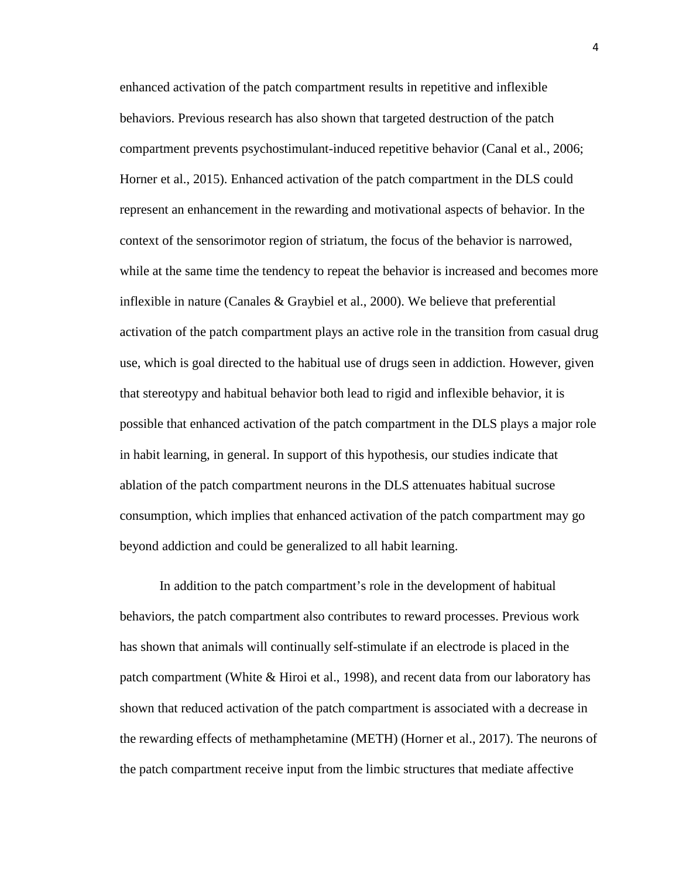enhanced activation of the patch compartment results in repetitive and inflexible behaviors. Previous research has also shown that targeted destruction of the patch compartment prevents psychostimulant-induced repetitive behavior (Canal et al., 2006; Horner et al., 2015). Enhanced activation of the patch compartment in the DLS could represent an enhancement in the rewarding and motivational aspects of behavior. In the context of the sensorimotor region of striatum, the focus of the behavior is narrowed, while at the same time the tendency to repeat the behavior is increased and becomes more inflexible in nature (Canales & Graybiel et al., 2000). We believe that preferential activation of the patch compartment plays an active role in the transition from casual drug use, which is goal directed to the habitual use of drugs seen in addiction. However, given that stereotypy and habitual behavior both lead to rigid and inflexible behavior, it is possible that enhanced activation of the patch compartment in the DLS plays a major role in habit learning, in general. In support of this hypothesis, our studies indicate that ablation of the patch compartment neurons in the DLS attenuates habitual sucrose consumption, which implies that enhanced activation of the patch compartment may go beyond addiction and could be generalized to all habit learning.

In addition to the patch compartment's role in the development of habitual behaviors, the patch compartment also contributes to reward processes. Previous work has shown that animals will continually self-stimulate if an electrode is placed in the patch compartment (White & Hiroi et al., 1998), and recent data from our laboratory has shown that reduced activation of the patch compartment is associated with a decrease in the rewarding effects of methamphetamine (METH) (Horner et al., 2017). The neurons of the patch compartment receive input from the limbic structures that mediate affective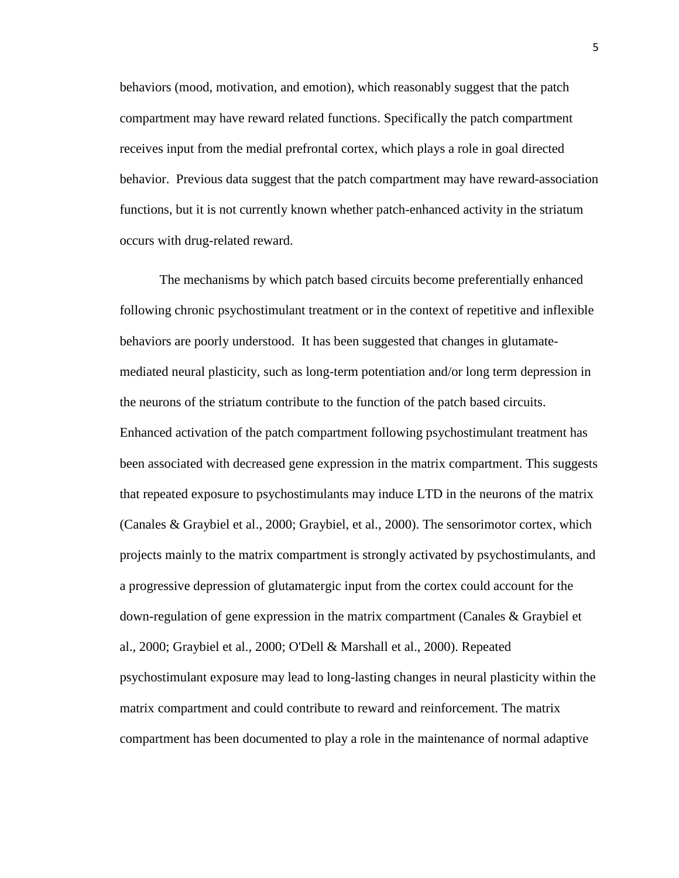behaviors (mood, motivation, and emotion), which reasonably suggest that the patch compartment may have reward related functions. Specifically the patch compartment receives input from the medial prefrontal cortex, which plays a role in goal directed behavior. Previous data suggest that the patch compartment may have reward-association functions, but it is not currently known whether patch-enhanced activity in the striatum occurs with drug-related reward.

The mechanisms by which patch based circuits become preferentially enhanced following chronic psychostimulant treatment or in the context of repetitive and inflexible behaviors are poorly understood. It has been suggested that changes in glutamatemediated neural plasticity, such as long-term potentiation and/or long term depression in the neurons of the striatum contribute to the function of the patch based circuits. Enhanced activation of the patch compartment following psychostimulant treatment has been associated with decreased gene expression in the matrix compartment. This suggests that repeated exposure to psychostimulants may induce LTD in the neurons of the matrix (Canales & Graybiel et al., 2000; Graybiel, et al., 2000). The sensorimotor cortex, which projects mainly to the matrix compartment is strongly activated by psychostimulants, and a progressive depression of glutamatergic input from the cortex could account for the down-regulation of gene expression in the matrix compartment (Canales & Graybiel et al., 2000; Graybiel et al., 2000; O'Dell & Marshall et al., 2000). Repeated psychostimulant exposure may lead to long-lasting changes in neural plasticity within the matrix compartment and could contribute to reward and reinforcement. The matrix compartment has been documented to play a role in the maintenance of normal adaptive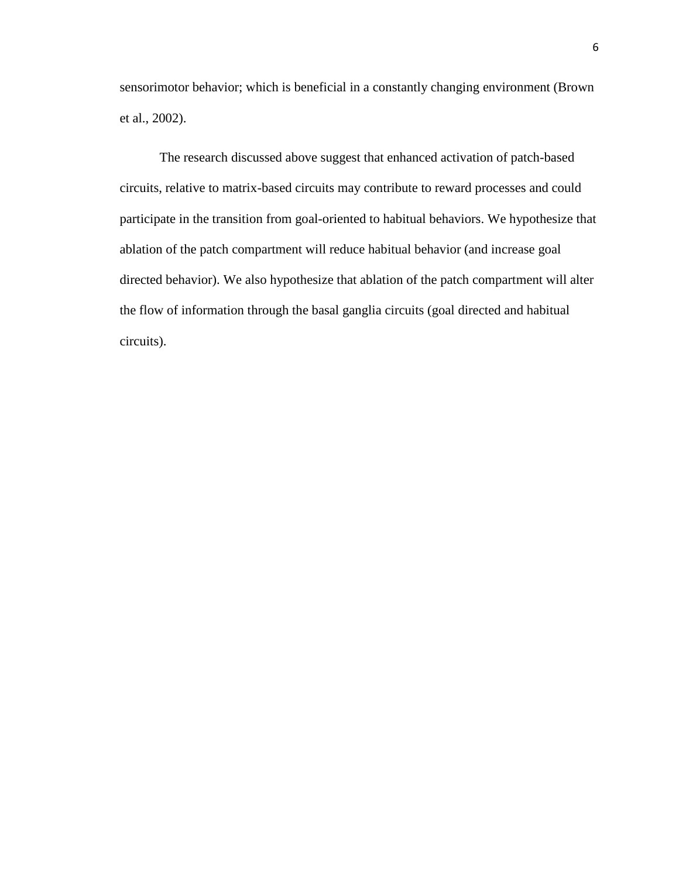sensorimotor behavior; which is beneficial in a constantly changing environment (Brown et al., 2002).

The research discussed above suggest that enhanced activation of patch-based circuits, relative to matrix-based circuits may contribute to reward processes and could participate in the transition from goal-oriented to habitual behaviors. We hypothesize that ablation of the patch compartment will reduce habitual behavior (and increase goal directed behavior). We also hypothesize that ablation of the patch compartment will alter the flow of information through the basal ganglia circuits (goal directed and habitual circuits).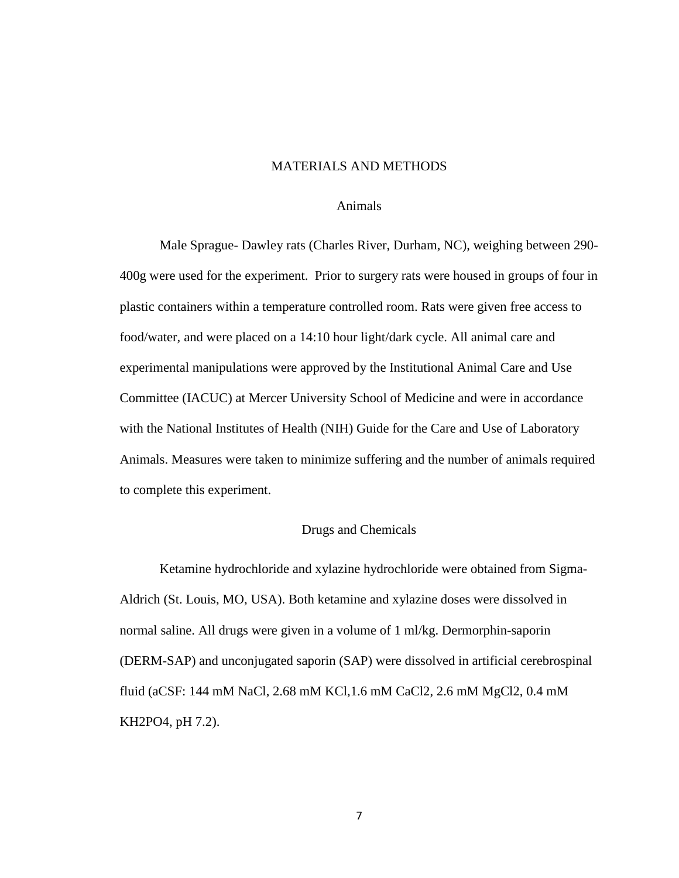# MATERIALS AND METHODS

#### Animals

Male Sprague- Dawley rats (Charles River, Durham, NC), weighing between 290- 400g were used for the experiment. Prior to surgery rats were housed in groups of four in plastic containers within a temperature controlled room. Rats were given free access to food/water, and were placed on a 14:10 hour light/dark cycle. All animal care and experimental manipulations were approved by the Institutional Animal Care and Use Committee (IACUC) at Mercer University School of Medicine and were in accordance with the National Institutes of Health (NIH) Guide for the Care and Use of Laboratory Animals. Measures were taken to minimize suffering and the number of animals required to complete this experiment.

# Drugs and Chemicals

Ketamine hydrochloride and xylazine hydrochloride were obtained from Sigma-Aldrich (St. Louis, MO, USA). Both ketamine and xylazine doses were dissolved in normal saline. All drugs were given in a volume of 1 ml/kg. Dermorphin-saporin (DERM-SAP) and unconjugated saporin (SAP) were dissolved in artificial cerebrospinal fluid (aCSF: 144 mM NaCl, 2.68 mM KCl,1.6 mM CaCl2, 2.6 mM MgCl2, 0.4 mM KH2PO4, pH 7.2).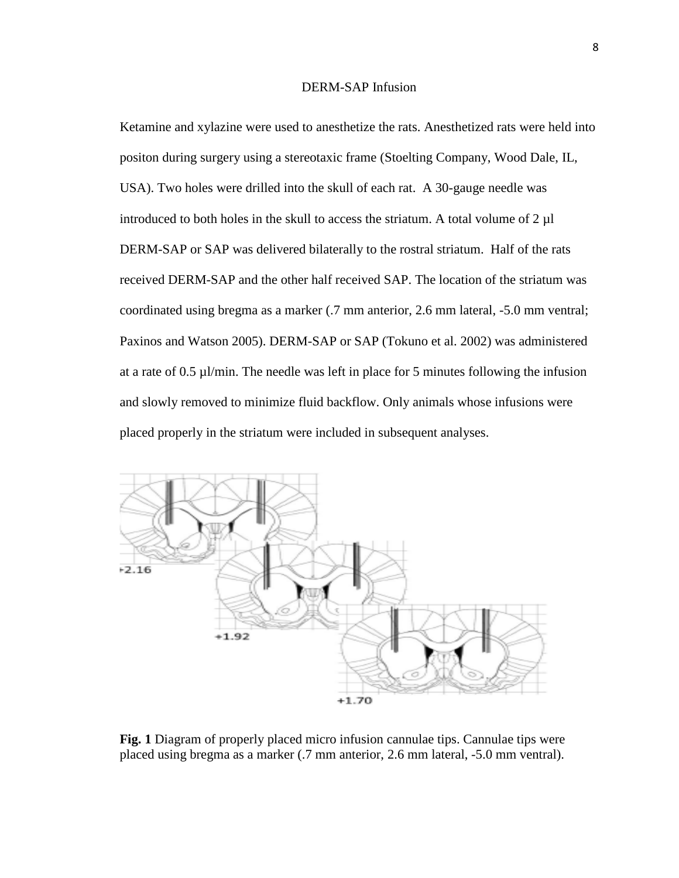# DERM-SAP Infusion

Ketamine and xylazine were used to anesthetize the rats. Anesthetized rats were held into positon during surgery using a stereotaxic frame (Stoelting Company, Wood Dale, IL, USA). Two holes were drilled into the skull of each rat. A 30-gauge needle was introduced to both holes in the skull to access the striatum. A total volume of  $2 \mu l$ DERM-SAP or SAP was delivered bilaterally to the rostral striatum. Half of the rats received DERM-SAP and the other half received SAP. The location of the striatum was coordinated using bregma as a marker (.7 mm anterior, 2.6 mm lateral, -5.0 mm ventral; Paxinos and Watson 2005). DERM-SAP or SAP (Tokuno et al. 2002) was administered at a rate of  $0.5 \mu$ *l*/min. The needle was left in place for 5 minutes following the infusion and slowly removed to minimize fluid backflow. Only animals whose infusions were placed properly in the striatum were included in subsequent analyses.



**Fig. 1** Diagram of properly placed micro infusion cannulae tips. Cannulae tips were placed using bregma as a marker (.7 mm anterior, 2.6 mm lateral, -5.0 mm ventral).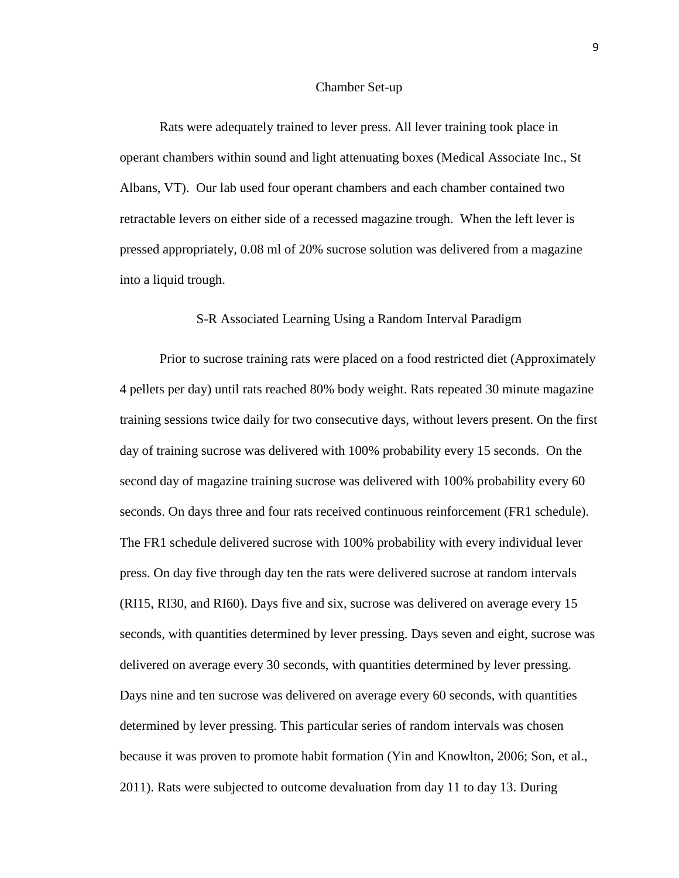#### Chamber Set-up

Rats were adequately trained to lever press. All lever training took place in operant chambers within sound and light attenuating boxes (Medical Associate Inc., St Albans, VT). Our lab used four operant chambers and each chamber contained two retractable levers on either side of a recessed magazine trough. When the left lever is pressed appropriately, 0.08 ml of 20% sucrose solution was delivered from a magazine into a liquid trough.

#### S-R Associated Learning Using a Random Interval Paradigm

Prior to sucrose training rats were placed on a food restricted diet (Approximately 4 pellets per day) until rats reached 80% body weight. Rats repeated 30 minute magazine training sessions twice daily for two consecutive days, without levers present. On the first day of training sucrose was delivered with 100% probability every 15 seconds. On the second day of magazine training sucrose was delivered with 100% probability every 60 seconds. On days three and four rats received continuous reinforcement (FR1 schedule). The FR1 schedule delivered sucrose with 100% probability with every individual lever press. On day five through day ten the rats were delivered sucrose at random intervals (RI15, RI30, and RI60). Days five and six, sucrose was delivered on average every 15 seconds, with quantities determined by lever pressing. Days seven and eight, sucrose was delivered on average every 30 seconds, with quantities determined by lever pressing. Days nine and ten sucrose was delivered on average every 60 seconds, with quantities determined by lever pressing. This particular series of random intervals was chosen because it was proven to promote habit formation (Yin and Knowlton, 2006; Son, et al., 2011). Rats were subjected to outcome devaluation from day 11 to day 13. During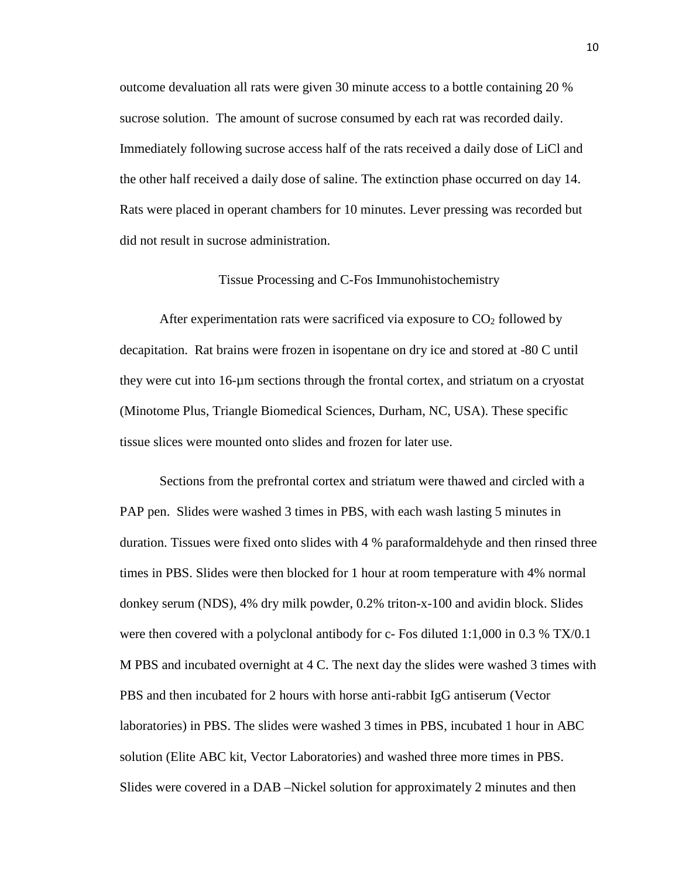outcome devaluation all rats were given 30 minute access to a bottle containing 20 % sucrose solution. The amount of sucrose consumed by each rat was recorded daily. Immediately following sucrose access half of the rats received a daily dose of LiCl and the other half received a daily dose of saline. The extinction phase occurred on day 14. Rats were placed in operant chambers for 10 minutes. Lever pressing was recorded but did not result in sucrose administration.

# Tissue Processing and C-Fos Immunohistochemistry

After experimentation rats were sacrificed via exposure to  $CO<sub>2</sub>$  followed by decapitation. Rat brains were frozen in isopentane on dry ice and stored at -80 C until they were cut into 16-µm sections through the frontal cortex, and striatum on a cryostat (Minotome Plus, Triangle Biomedical Sciences, Durham, NC, USA). These specific tissue slices were mounted onto slides and frozen for later use.

Sections from the prefrontal cortex and striatum were thawed and circled with a PAP pen. Slides were washed 3 times in PBS, with each wash lasting 5 minutes in duration. Tissues were fixed onto slides with 4 % paraformaldehyde and then rinsed three times in PBS. Slides were then blocked for 1 hour at room temperature with 4% normal donkey serum (NDS), 4% dry milk powder, 0.2% triton-x-100 and avidin block. Slides were then covered with a polyclonal antibody for c- Fos diluted 1:1,000 in 0.3 % TX/0.1 M PBS and incubated overnight at 4 C. The next day the slides were washed 3 times with PBS and then incubated for 2 hours with horse anti-rabbit IgG antiserum (Vector laboratories) in PBS. The slides were washed 3 times in PBS, incubated 1 hour in ABC solution (Elite ABC kit, Vector Laboratories) and washed three more times in PBS. Slides were covered in a DAB –Nickel solution for approximately 2 minutes and then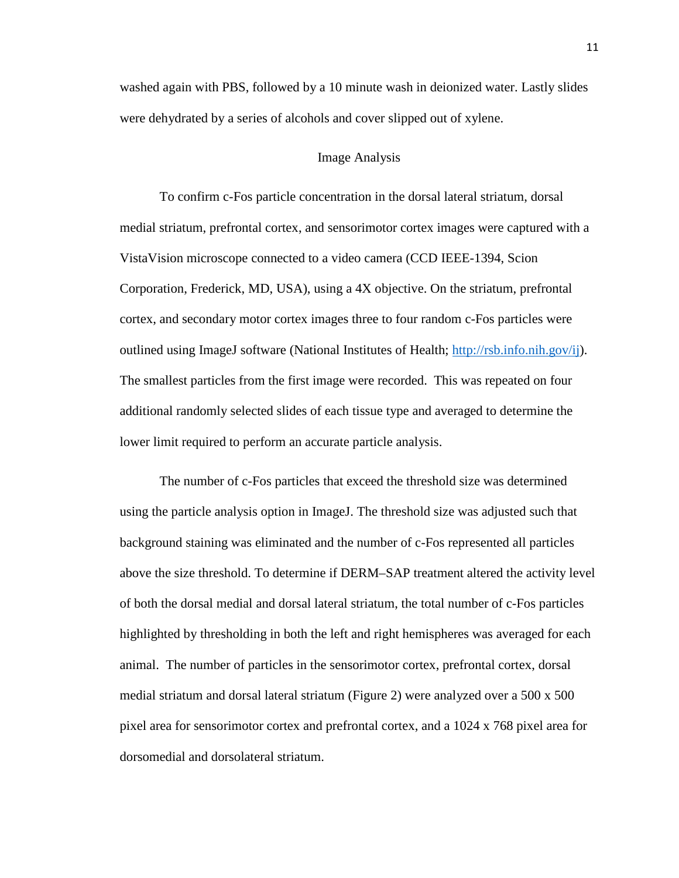washed again with PBS, followed by a 10 minute wash in deionized water. Lastly slides were dehydrated by a series of alcohols and cover slipped out of xylene.

# Image Analysis

To confirm c-Fos particle concentration in the dorsal lateral striatum, dorsal medial striatum, prefrontal cortex, and sensorimotor cortex images were captured with a VistaVision microscope connected to a video camera (CCD IEEE-1394, Scion Corporation, Frederick, MD, USA), using a 4X objective. On the striatum, prefrontal cortex, and secondary motor cortex images three to four random c-Fos particles were outlined using ImageJ software (National Institutes of Health; [http://rsb.info.nih.gov/ij\)](http://rsb.info.nih.gov/ij). The smallest particles from the first image were recorded. This was repeated on four additional randomly selected slides of each tissue type and averaged to determine the lower limit required to perform an accurate particle analysis.

The number of c-Fos particles that exceed the threshold size was determined using the particle analysis option in ImageJ. The threshold size was adjusted such that background staining was eliminated and the number of c-Fos represented all particles above the size threshold. To determine if DERM–SAP treatment altered the activity level of both the dorsal medial and dorsal lateral striatum, the total number of c-Fos particles highlighted by thresholding in both the left and right hemispheres was averaged for each animal. The number of particles in the sensorimotor cortex, prefrontal cortex, dorsal medial striatum and dorsal lateral striatum (Figure 2) were analyzed over a 500 x 500 pixel area for sensorimotor cortex and prefrontal cortex, and a 1024 x 768 pixel area for dorsomedial and dorsolateral striatum.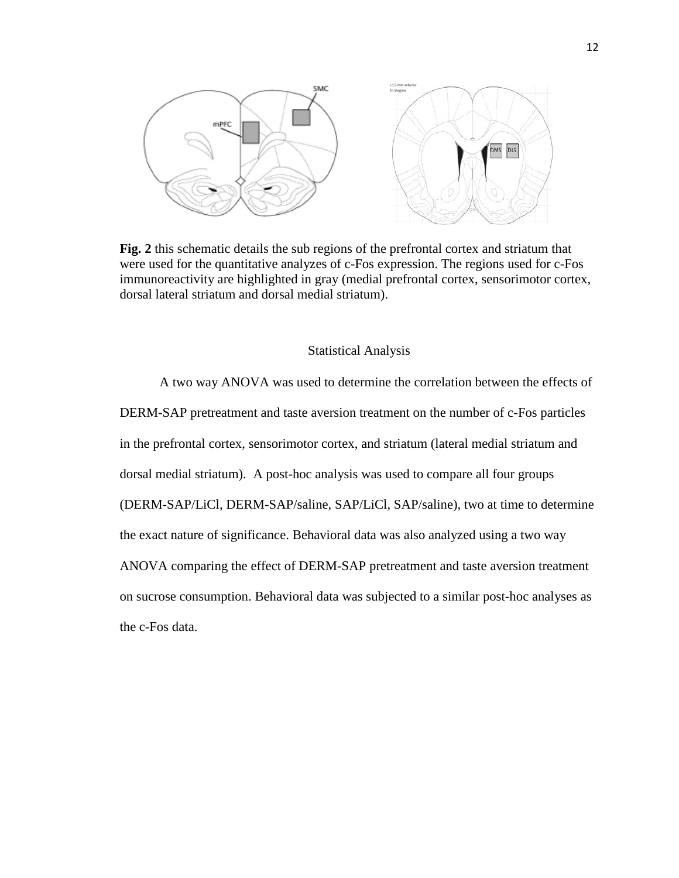

**Fig. 2** this schematic details the sub regions of the prefrontal cortex and striatum that were used for the quantitative analyzes of c-Fos expression. The regions used for c-Fos immunoreactivity are highlighted in gray (medial prefrontal cortex, sensorimotor cortex, dorsal lateral striatum and dorsal medial striatum).

#### Statistical Analysis

A two way ANOVA was used to determine the correlation between the effects of DERM-SAP pretreatment and taste aversion treatment on the number of c-Fos particles in the prefrontal cortex, sensorimotor cortex, and striatum (lateral medial striatum and dorsal medial striatum). A post-hoc analysis was used to compare all four groups (DERM-SAP/LiCl, DERM-SAP/saline, SAP/LiCl, SAP/saline), two at time to determine the exact nature of significance. Behavioral data was also analyzed using a two way ANOVA comparing the effect of DERM-SAP pretreatment and taste aversion treatment on sucrose consumption. Behavioral data was subjected to a similar post-hoc analyses as the c-Fos data.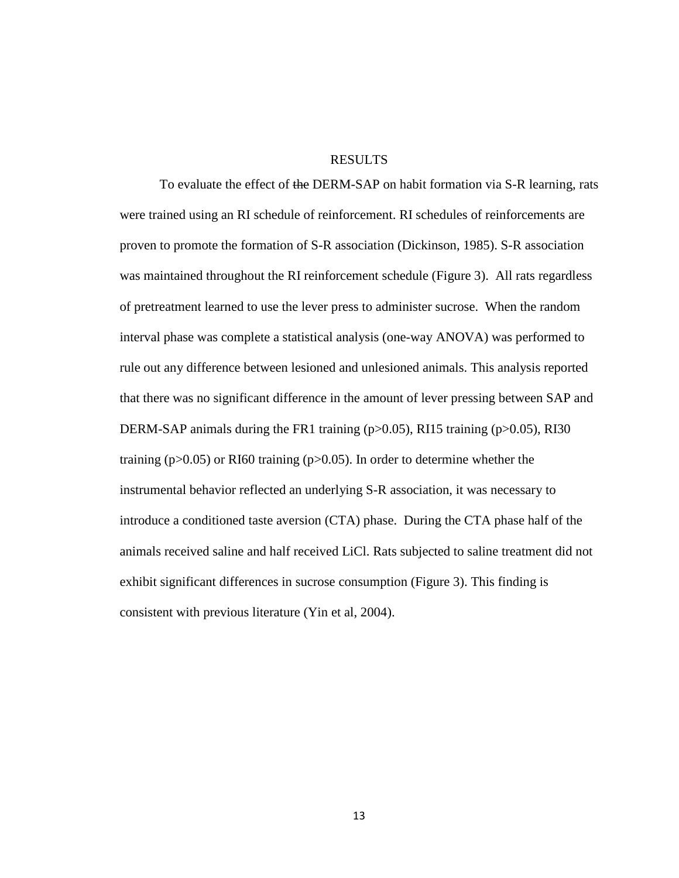# RESULTS

To evaluate the effect of the DERM-SAP on habit formation via S-R learning, rats were trained using an RI schedule of reinforcement. RI schedules of reinforcements are proven to promote the formation of S-R association (Dickinson, 1985). S-R association was maintained throughout the RI reinforcement schedule (Figure 3). All rats regardless of pretreatment learned to use the lever press to administer sucrose. When the random interval phase was complete a statistical analysis (one-way ANOVA) was performed to rule out any difference between lesioned and unlesioned animals. This analysis reported that there was no significant difference in the amount of lever pressing between SAP and DERM-SAP animals during the FR1 training (p>0.05), RI15 training (p>0.05), RI30 training ( $p > 0.05$ ) or RI60 training ( $p > 0.05$ ). In order to determine whether the instrumental behavior reflected an underlying S-R association, it was necessary to introduce a conditioned taste aversion (CTA) phase. During the CTA phase half of the animals received saline and half received LiCl. Rats subjected to saline treatment did not exhibit significant differences in sucrose consumption (Figure 3). This finding is consistent with previous literature (Yin et al, 2004).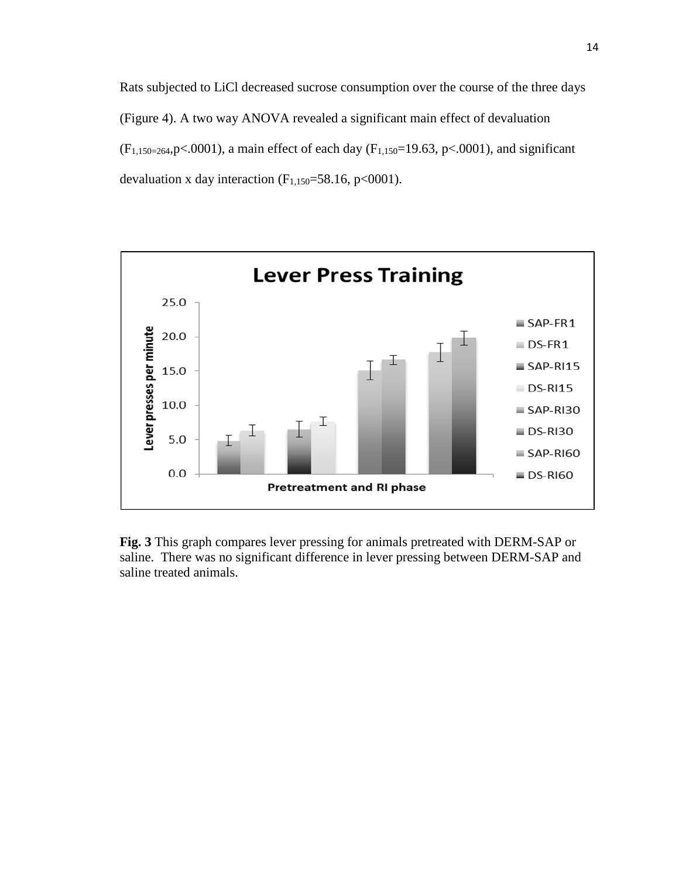Rats subjected to LiCl decreased sucrose consumption over the course of the three days (Figure 4). A two way ANOVA revealed a significant main effect of devaluation  $(F_{1,150=264}, p<.0001)$ , a main effect of each day  $(F_{1,150}=19.63, p<.0001)$ , and significant devaluation x day interaction  $(F_{1,150}=58.16, p<0001)$ .



**Fig. 3** This graph compares lever pressing for animals pretreated with DERM-SAP or saline. There was no significant difference in lever pressing between DERM-SAP and saline treated animals.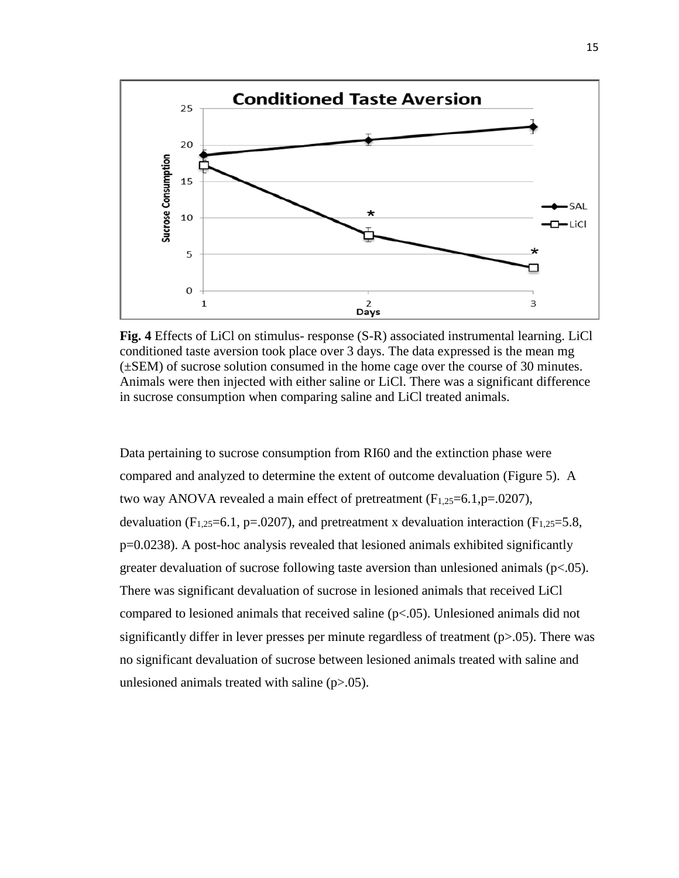

**Fig. 4** Effects of LiCl on stimulus- response (S-R) associated instrumental learning. LiCl conditioned taste aversion took place over 3 days. The data expressed is the mean mg (±SEM) of sucrose solution consumed in the home cage over the course of 30 minutes. Animals were then injected with either saline or LiCl. There was a significant difference in sucrose consumption when comparing saline and LiCl treated animals.

Data pertaining to sucrose consumption from RI60 and the extinction phase were compared and analyzed to determine the extent of outcome devaluation (Figure 5). A two way ANOVA revealed a main effect of pretreatment  $(F_{1,25}=6.1, p=.0207)$ , devaluation ( $F_{1,25}=6.1$ ,  $p=.0207$ ), and pretreatment x devaluation interaction ( $F_{1,25}=5.8$ , p=0.0238). A post-hoc analysis revealed that lesioned animals exhibited significantly greater devaluation of sucrose following taste aversion than unlesioned animals (p<.05). There was significant devaluation of sucrose in lesioned animals that received LiCl compared to lesioned animals that received saline (p<.05). Unlesioned animals did not significantly differ in lever presses per minute regardless of treatment (p>.05). There was no significant devaluation of sucrose between lesioned animals treated with saline and unlesioned animals treated with saline  $(p>0.05)$ .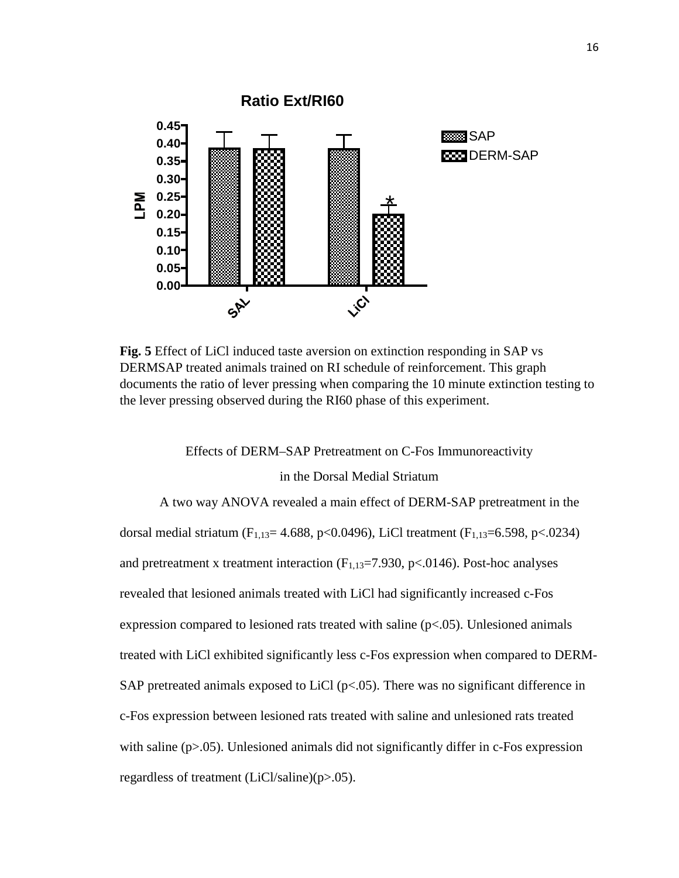

**Fig. 5** Effect of LiCl induced taste aversion on extinction responding in SAP vs DERMSAP treated animals trained on RI schedule of reinforcement. This graph documents the ratio of lever pressing when comparing the 10 minute extinction testing to the lever pressing observed during the RI60 phase of this experiment.

Effects of DERM–SAP Pretreatment on C-Fos Immunoreactivity

# in the Dorsal Medial Striatum

A two way ANOVA revealed a main effect of DERM-SAP pretreatment in the dorsal medial striatum (F<sub>1,13</sub>= 4.688, p<0.0496), LiCl treatment (F<sub>1,13</sub>= 6.598, p<.0234) and pretreatment x treatment interaction  $(F_{1,13}=7.930, p<.0146)$ . Post-hoc analyses revealed that lesioned animals treated with LiCl had significantly increased c-Fos expression compared to lesioned rats treated with saline  $(p<.05)$ . Unlesioned animals treated with LiCl exhibited significantly less c-Fos expression when compared to DERM-SAP pretreated animals exposed to LiCl ( $p<.05$ ). There was no significant difference in c-Fos expression between lesioned rats treated with saline and unlesioned rats treated with saline (p>.05). Unlesioned animals did not significantly differ in c-Fos expression regardless of treatment (LiCl/saline)(p>.05).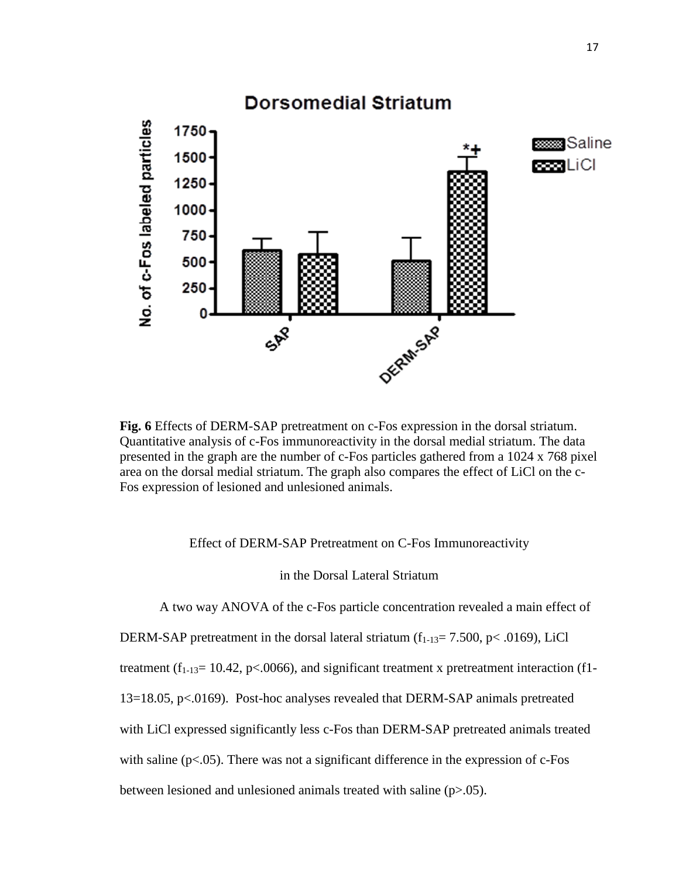

**Fig. 6** Effects of DERM-SAP pretreatment on c-Fos expression in the dorsal striatum. Quantitative analysis of c-Fos immunoreactivity in the dorsal medial striatum. The data presented in the graph are the number of c-Fos particles gathered from a 1024 x 768 pixel area on the dorsal medial striatum. The graph also compares the effect of LiCl on the c-Fos expression of lesioned and unlesioned animals.

Effect of DERM-SAP Pretreatment on C-Fos Immunoreactivity

in the Dorsal Lateral Striatum

A two way ANOVA of the c-Fos particle concentration revealed a main effect of

DERM-SAP pretreatment in the dorsal lateral striatum  $(f_{1-13}= 7.500, p < .0169)$ , LiCl

treatment ( $f_{1-13}= 10.42$ , p<.0066), and significant treatment x pretreatment interaction (f1-

13=18.05, p<.0169). Post-hoc analyses revealed that DERM-SAP animals pretreated

with LiCl expressed significantly less c-Fos than DERM-SAP pretreated animals treated

with saline  $(p<.05)$ . There was not a significant difference in the expression of c-Fos

between lesioned and unlesioned animals treated with saline (p>.05).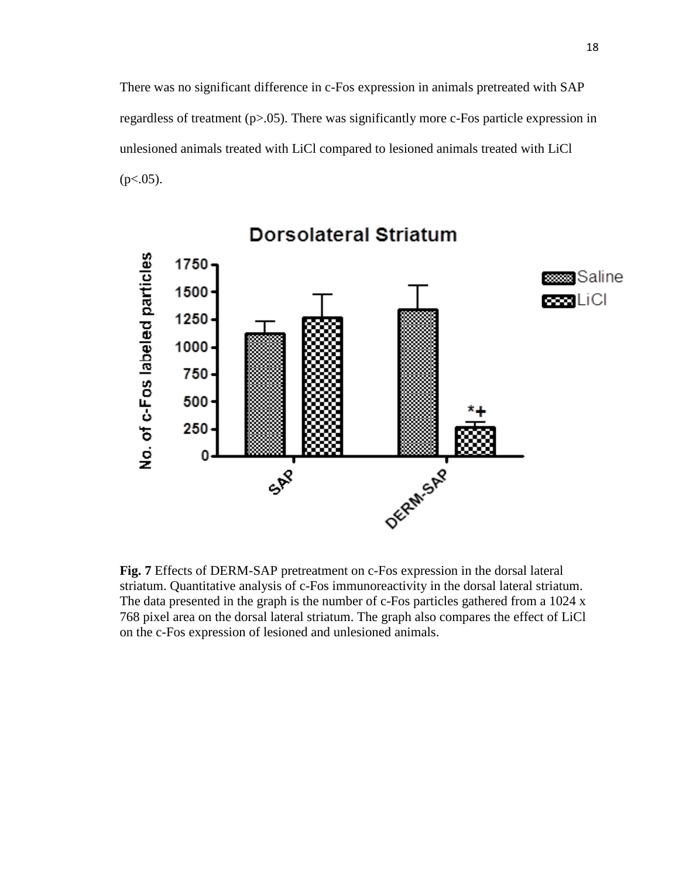There was no significant difference in c-Fos expression in animals pretreated with SAP regardless of treatment (p>.05). There was significantly more c-Fos particle expression in unlesioned animals treated with LiCl compared to lesioned animals treated with LiCl  $(p<.05)$ .



# **Dorsolateral Striatum**

**Fig. 7** Effects of DERM-SAP pretreatment on c-Fos expression in the dorsal lateral striatum. Quantitative analysis of c-Fos immunoreactivity in the dorsal lateral striatum. The data presented in the graph is the number of c-Fos particles gathered from a 1024 x 768 pixel area on the dorsal lateral striatum. The graph also compares the effect of LiCl on the c-Fos expression of lesioned and unlesioned animals.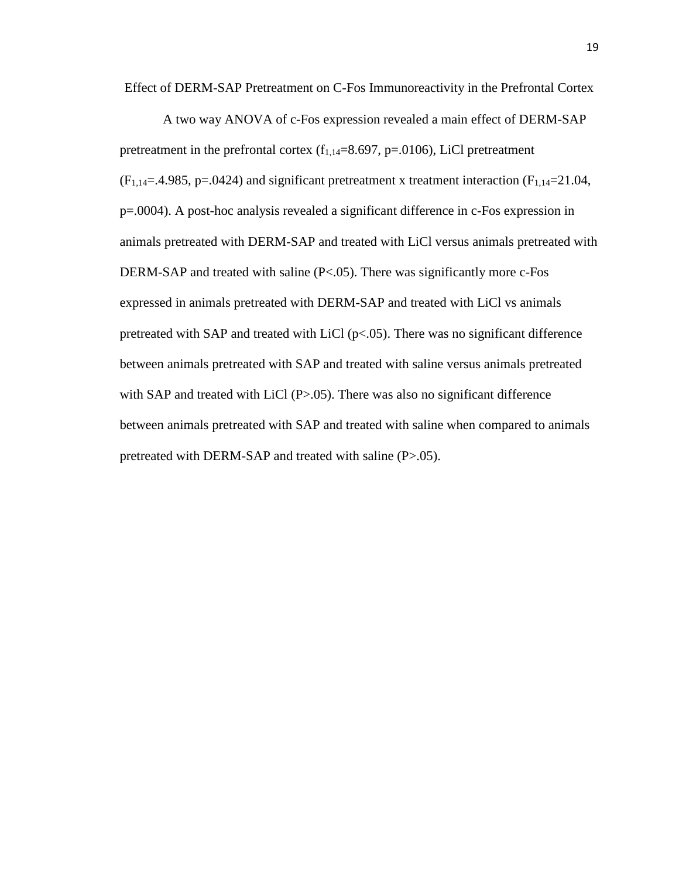Effect of DERM-SAP Pretreatment on C-Fos Immunoreactivity in the Prefrontal Cortex

A two way ANOVA of c-Fos expression revealed a main effect of DERM-SAP pretreatment in the prefrontal cortex  $(f_{1,14}=8.697, p=.0106)$ , LiCl pretreatment  $(F<sub>1,14</sub>=4.985, p=.0424)$  and significant pretreatment x treatment interaction  $(F<sub>1,14</sub>=21.04,$ p=.0004). A post-hoc analysis revealed a significant difference in c-Fos expression in animals pretreated with DERM-SAP and treated with LiCl versus animals pretreated with DERM-SAP and treated with saline (P<.05). There was significantly more c-Fos expressed in animals pretreated with DERM-SAP and treated with LiCl vs animals pretreated with SAP and treated with LiCl ( $p<0.05$ ). There was no significant difference between animals pretreated with SAP and treated with saline versus animals pretreated with SAP and treated with LiCl (P>.05). There was also no significant difference between animals pretreated with SAP and treated with saline when compared to animals pretreated with DERM-SAP and treated with saline (P>.05).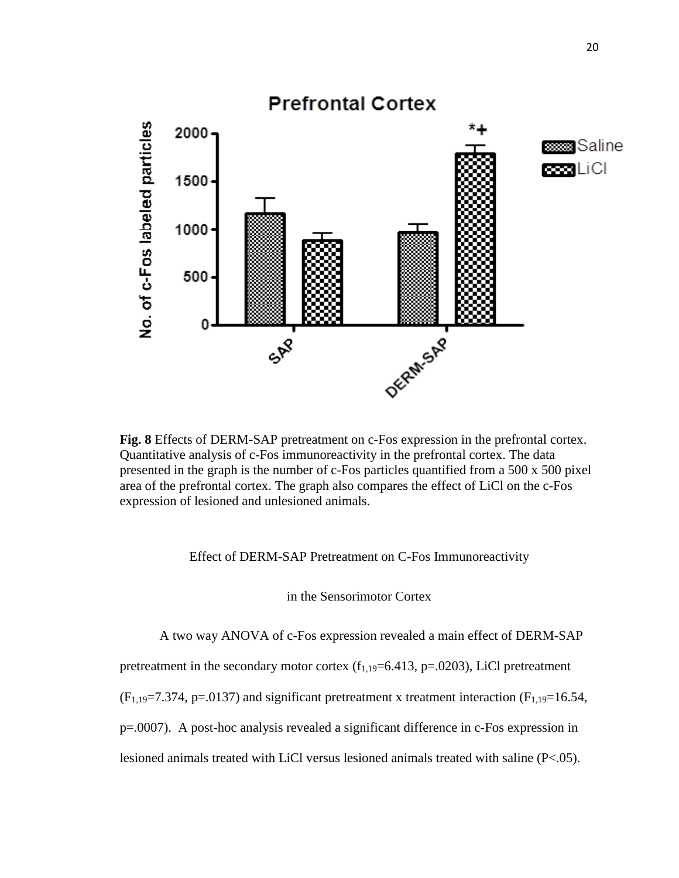

**Fig. 8** Effects of DERM-SAP pretreatment on c-Fos expression in the prefrontal cortex. Quantitative analysis of c-Fos immunoreactivity in the prefrontal cortex. The data presented in the graph is the number of c-Fos particles quantified from a 500 x 500 pixel area of the prefrontal cortex. The graph also compares the effect of LiCl on the c-Fos expression of lesioned and unlesioned animals.

# Effect of DERM-SAP Pretreatment on C-Fos Immunoreactivity

in the Sensorimotor Cortex

A two way ANOVA of c-Fos expression revealed a main effect of DERM-SAP

pretreatment in the secondary motor cortex  $(f_{1,19}=6.413, p=.0203)$ , LiCl pretreatment

 $(F_{1,19}=7.374, p=.0137)$  and significant pretreatment x treatment interaction  $(F_{1,19}=16.54,$ 

p=.0007). A post-hoc analysis revealed a significant difference in c-Fos expression in

lesioned animals treated with LiCl versus lesioned animals treated with saline (P<.05).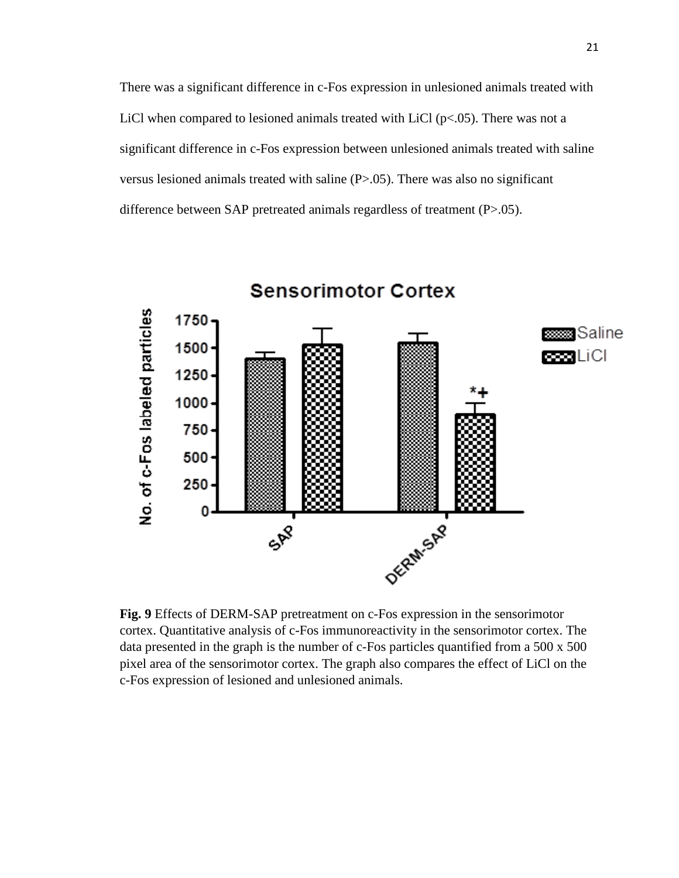There was a significant difference in c-Fos expression in unlesioned animals treated with LiCl when compared to lesioned animals treated with LiCl ( $p<0.05$ ). There was not a significant difference in c-Fos expression between unlesioned animals treated with saline versus lesioned animals treated with saline (P>.05). There was also no significant difference between SAP pretreated animals regardless of treatment (P>.05).

**Sensorimotor Cortex** 

No. of c-Fos labeled particles 1750 **saaaa** Saline 1500 con Lici  $1250 1000 -$ 750 500 250 0 DEPM SAP SAP

**Fig. 9** Effects of DERM-SAP pretreatment on c-Fos expression in the sensorimotor cortex. Quantitative analysis of c-Fos immunoreactivity in the sensorimotor cortex. The data presented in the graph is the number of c-Fos particles quantified from a 500 x 500 pixel area of the sensorimotor cortex. The graph also compares the effect of LiCl on the c-Fos expression of lesioned and unlesioned animals.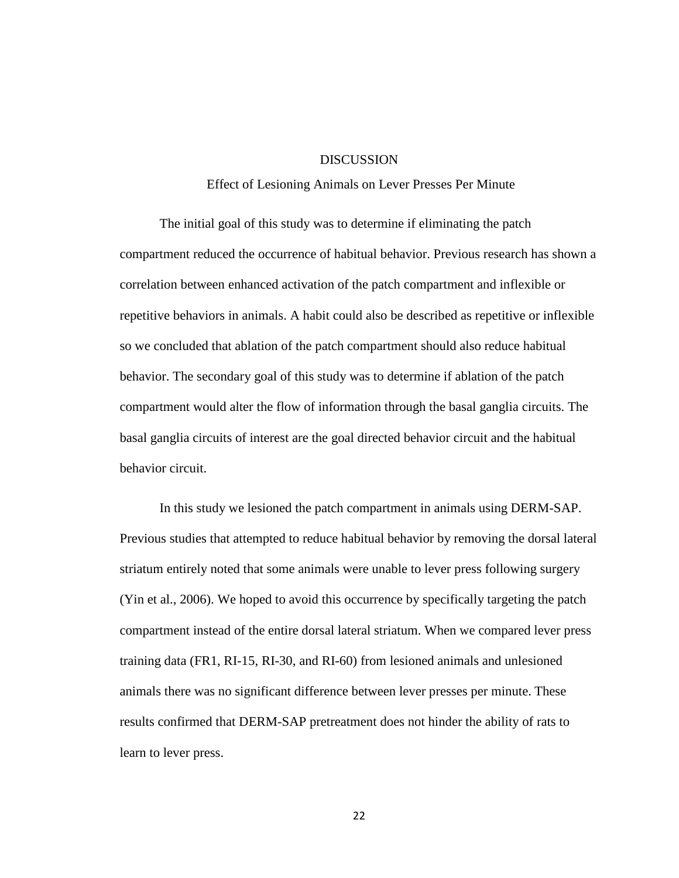# DISCUSSION

## Effect of Lesioning Animals on Lever Presses Per Minute

The initial goal of this study was to determine if eliminating the patch compartment reduced the occurrence of habitual behavior. Previous research has shown a correlation between enhanced activation of the patch compartment and inflexible or repetitive behaviors in animals. A habit could also be described as repetitive or inflexible so we concluded that ablation of the patch compartment should also reduce habitual behavior. The secondary goal of this study was to determine if ablation of the patch compartment would alter the flow of information through the basal ganglia circuits. The basal ganglia circuits of interest are the goal directed behavior circuit and the habitual behavior circuit.

In this study we lesioned the patch compartment in animals using DERM-SAP. Previous studies that attempted to reduce habitual behavior by removing the dorsal lateral striatum entirely noted that some animals were unable to lever press following surgery (Yin et al., 2006). We hoped to avoid this occurrence by specifically targeting the patch compartment instead of the entire dorsal lateral striatum. When we compared lever press training data (FR1, RI-15, RI-30, and RI-60) from lesioned animals and unlesioned animals there was no significant difference between lever presses per minute. These results confirmed that DERM-SAP pretreatment does not hinder the ability of rats to learn to lever press.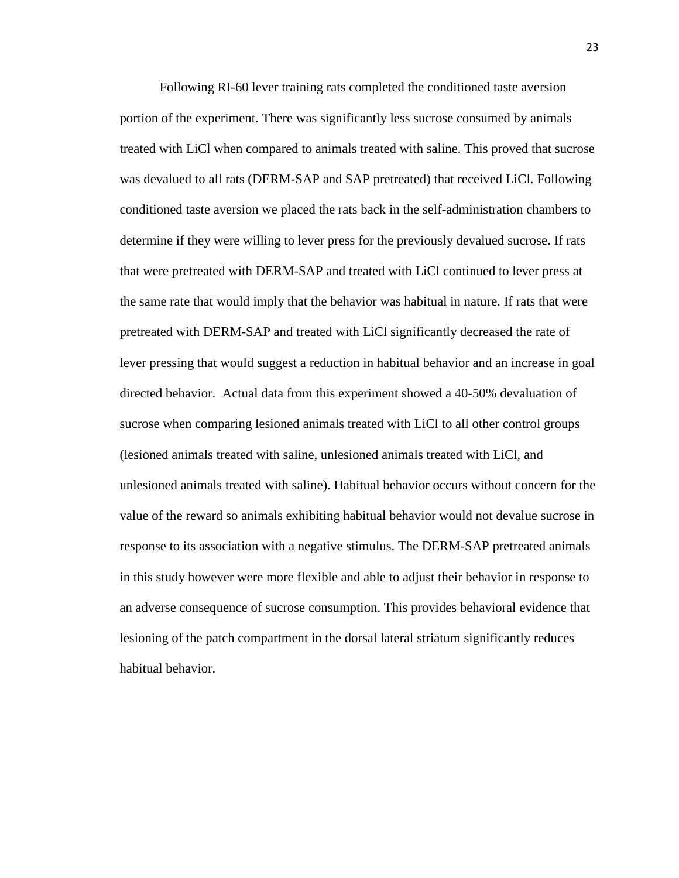Following RI-60 lever training rats completed the conditioned taste aversion portion of the experiment. There was significantly less sucrose consumed by animals treated with LiCl when compared to animals treated with saline. This proved that sucrose was devalued to all rats (DERM-SAP and SAP pretreated) that received LiCl. Following conditioned taste aversion we placed the rats back in the self-administration chambers to determine if they were willing to lever press for the previously devalued sucrose. If rats that were pretreated with DERM-SAP and treated with LiCl continued to lever press at the same rate that would imply that the behavior was habitual in nature. If rats that were pretreated with DERM-SAP and treated with LiCl significantly decreased the rate of lever pressing that would suggest a reduction in habitual behavior and an increase in goal directed behavior. Actual data from this experiment showed a 40-50% devaluation of sucrose when comparing lesioned animals treated with LiCl to all other control groups (lesioned animals treated with saline, unlesioned animals treated with LiCl, and unlesioned animals treated with saline). Habitual behavior occurs without concern for the value of the reward so animals exhibiting habitual behavior would not devalue sucrose in response to its association with a negative stimulus. The DERM-SAP pretreated animals in this study however were more flexible and able to adjust their behavior in response to an adverse consequence of sucrose consumption. This provides behavioral evidence that lesioning of the patch compartment in the dorsal lateral striatum significantly reduces habitual behavior.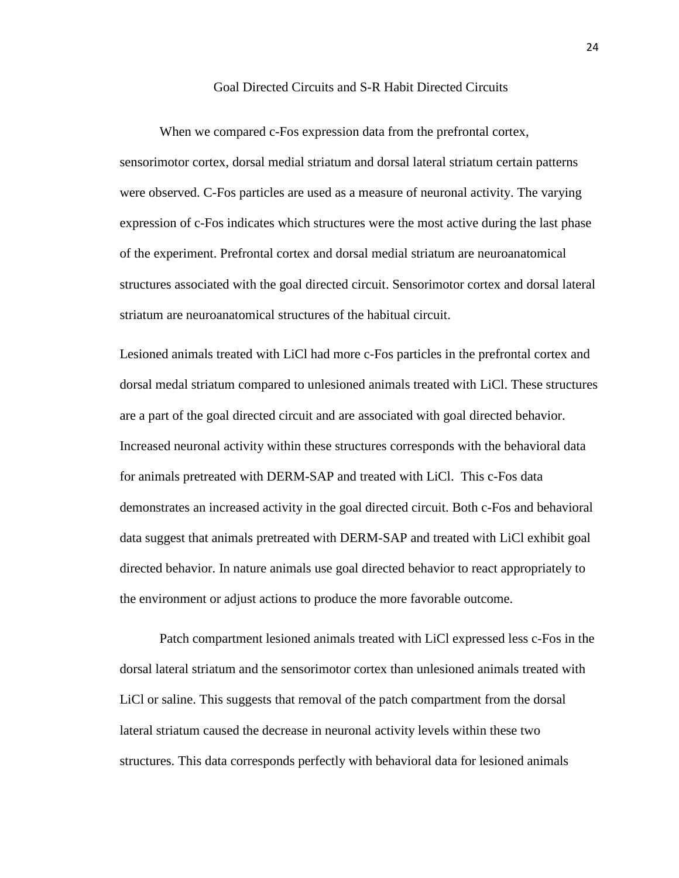#### Goal Directed Circuits and S-R Habit Directed Circuits

When we compared c-Fos expression data from the prefrontal cortex, sensorimotor cortex, dorsal medial striatum and dorsal lateral striatum certain patterns were observed. C-Fos particles are used as a measure of neuronal activity. The varying expression of c-Fos indicates which structures were the most active during the last phase of the experiment. Prefrontal cortex and dorsal medial striatum are neuroanatomical structures associated with the goal directed circuit. Sensorimotor cortex and dorsal lateral striatum are neuroanatomical structures of the habitual circuit.

Lesioned animals treated with LiCl had more c-Fos particles in the prefrontal cortex and dorsal medal striatum compared to unlesioned animals treated with LiCl. These structures are a part of the goal directed circuit and are associated with goal directed behavior. Increased neuronal activity within these structures corresponds with the behavioral data for animals pretreated with DERM-SAP and treated with LiCl. This c-Fos data demonstrates an increased activity in the goal directed circuit. Both c-Fos and behavioral data suggest that animals pretreated with DERM-SAP and treated with LiCl exhibit goal directed behavior. In nature animals use goal directed behavior to react appropriately to the environment or adjust actions to produce the more favorable outcome.

Patch compartment lesioned animals treated with LiCl expressed less c-Fos in the dorsal lateral striatum and the sensorimotor cortex than unlesioned animals treated with LiCl or saline. This suggests that removal of the patch compartment from the dorsal lateral striatum caused the decrease in neuronal activity levels within these two structures. This data corresponds perfectly with behavioral data for lesioned animals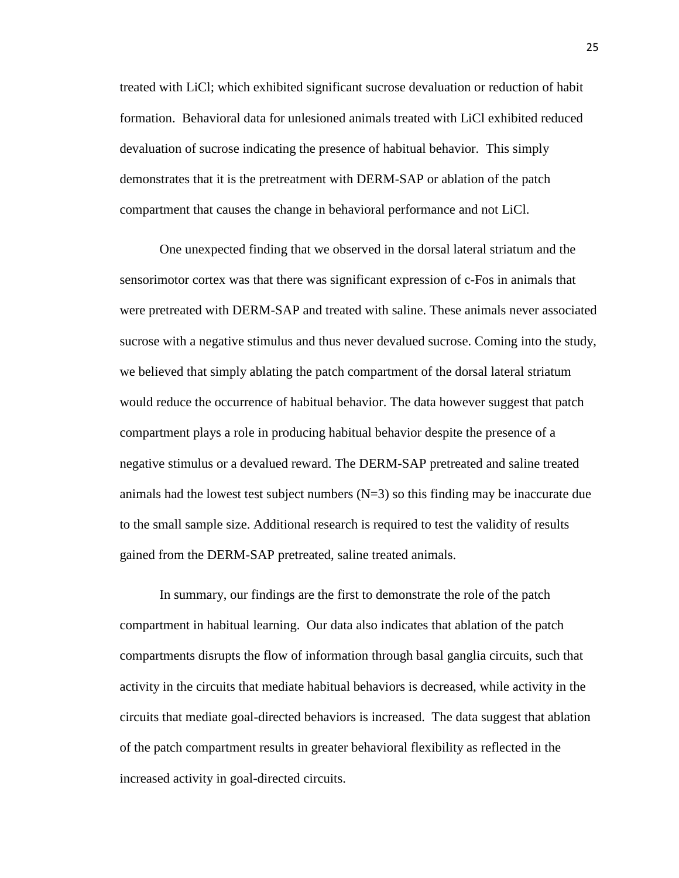treated with LiCl; which exhibited significant sucrose devaluation or reduction of habit formation. Behavioral data for unlesioned animals treated with LiCl exhibited reduced devaluation of sucrose indicating the presence of habitual behavior. This simply demonstrates that it is the pretreatment with DERM-SAP or ablation of the patch compartment that causes the change in behavioral performance and not LiCl.

One unexpected finding that we observed in the dorsal lateral striatum and the sensorimotor cortex was that there was significant expression of c-Fos in animals that were pretreated with DERM-SAP and treated with saline. These animals never associated sucrose with a negative stimulus and thus never devalued sucrose. Coming into the study, we believed that simply ablating the patch compartment of the dorsal lateral striatum would reduce the occurrence of habitual behavior. The data however suggest that patch compartment plays a role in producing habitual behavior despite the presence of a negative stimulus or a devalued reward. The DERM-SAP pretreated and saline treated animals had the lowest test subject numbers  $(N=3)$  so this finding may be inaccurate due to the small sample size. Additional research is required to test the validity of results gained from the DERM-SAP pretreated, saline treated animals.

In summary, our findings are the first to demonstrate the role of the patch compartment in habitual learning. Our data also indicates that ablation of the patch compartments disrupts the flow of information through basal ganglia circuits, such that activity in the circuits that mediate habitual behaviors is decreased, while activity in the circuits that mediate goal-directed behaviors is increased. The data suggest that ablation of the patch compartment results in greater behavioral flexibility as reflected in the increased activity in goal-directed circuits.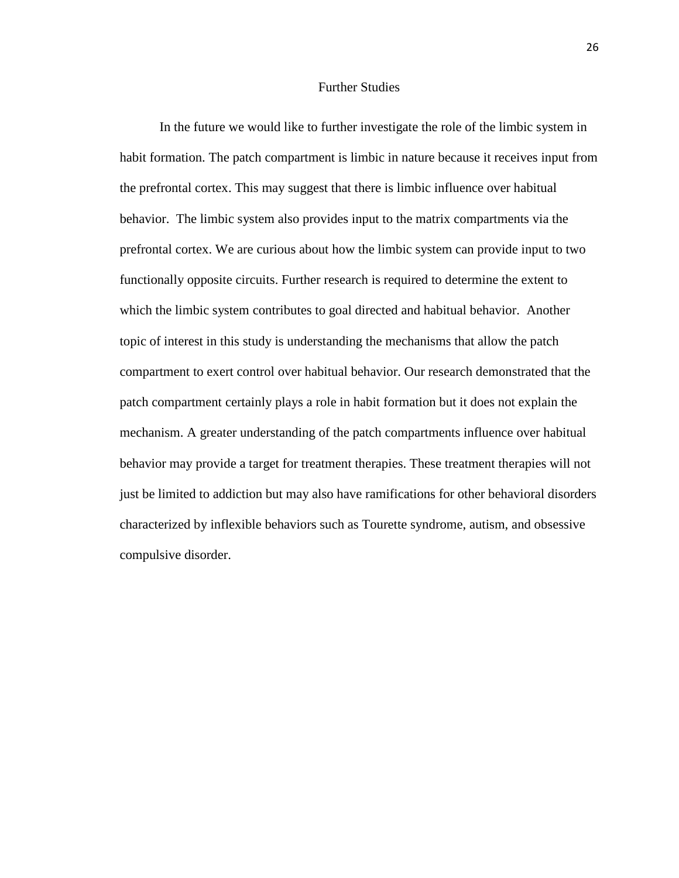# Further Studies

In the future we would like to further investigate the role of the limbic system in habit formation. The patch compartment is limbic in nature because it receives input from the prefrontal cortex. This may suggest that there is limbic influence over habitual behavior. The limbic system also provides input to the matrix compartments via the prefrontal cortex. We are curious about how the limbic system can provide input to two functionally opposite circuits. Further research is required to determine the extent to which the limbic system contributes to goal directed and habitual behavior. Another topic of interest in this study is understanding the mechanisms that allow the patch compartment to exert control over habitual behavior. Our research demonstrated that the patch compartment certainly plays a role in habit formation but it does not explain the mechanism. A greater understanding of the patch compartments influence over habitual behavior may provide a target for treatment therapies. These treatment therapies will not just be limited to addiction but may also have ramifications for other behavioral disorders characterized by inflexible behaviors such as Tourette syndrome, autism, and obsessive compulsive disorder.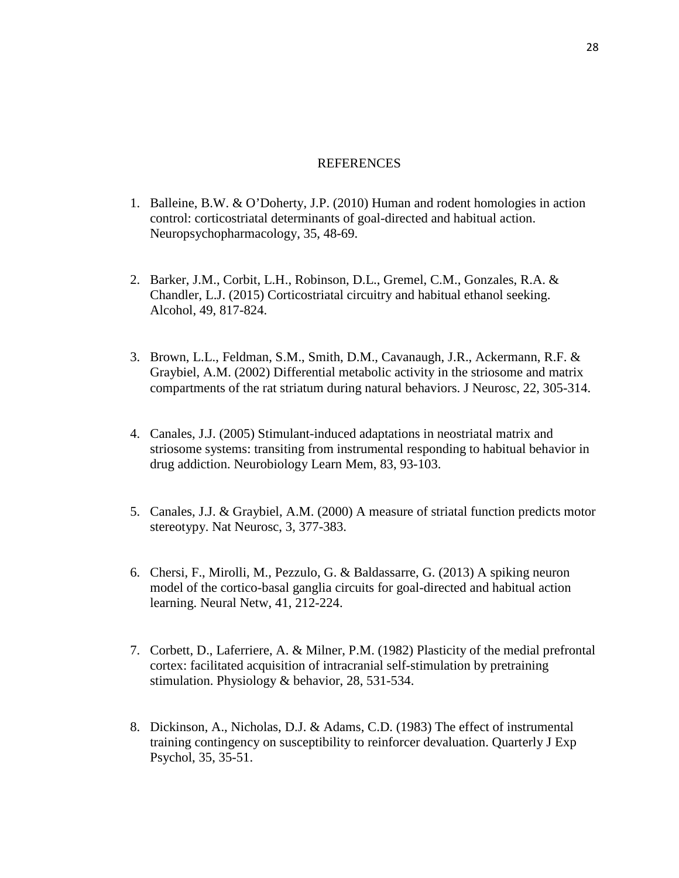## **REFERENCES**

- 1. Balleine, B.W. & O'Doherty, J.P. (2010) Human and rodent homologies in action control: corticostriatal determinants of goal-directed and habitual action. Neuropsychopharmacology, 35, 48-69.
- 2. Barker, J.M., Corbit, L.H., Robinson, D.L., Gremel, C.M., Gonzales, R.A. & Chandler, L.J. (2015) Corticostriatal circuitry and habitual ethanol seeking. Alcohol, 49, 817-824.
- 3. Brown, L.L., Feldman, S.M., Smith, D.M., Cavanaugh, J.R., Ackermann, R.F. & Graybiel, A.M. (2002) Differential metabolic activity in the striosome and matrix compartments of the rat striatum during natural behaviors. J Neurosc, 22, 305-314.
- 4. Canales, J.J. (2005) Stimulant-induced adaptations in neostriatal matrix and striosome systems: transiting from instrumental responding to habitual behavior in drug addiction. Neurobiology Learn Mem, 83, 93-103.
- 5. Canales, J.J. & Graybiel, A.M. (2000) A measure of striatal function predicts motor stereotypy. Nat Neurosc, 3, 377-383.
- 6. Chersi, F., Mirolli, M., Pezzulo, G. & Baldassarre, G. (2013) A spiking neuron model of the cortico-basal ganglia circuits for goal-directed and habitual action learning. Neural Netw, 41, 212-224.
- 7. Corbett, D., Laferriere, A. & Milner, P.M. (1982) Plasticity of the medial prefrontal cortex: facilitated acquisition of intracranial self-stimulation by pretraining stimulation. Physiology & behavior, 28, 531-534.
- 8. Dickinson, A., Nicholas, D.J. & Adams, C.D. (1983) The effect of instrumental training contingency on susceptibility to reinforcer devaluation. Quarterly J Exp Psychol, 35, 35-51.